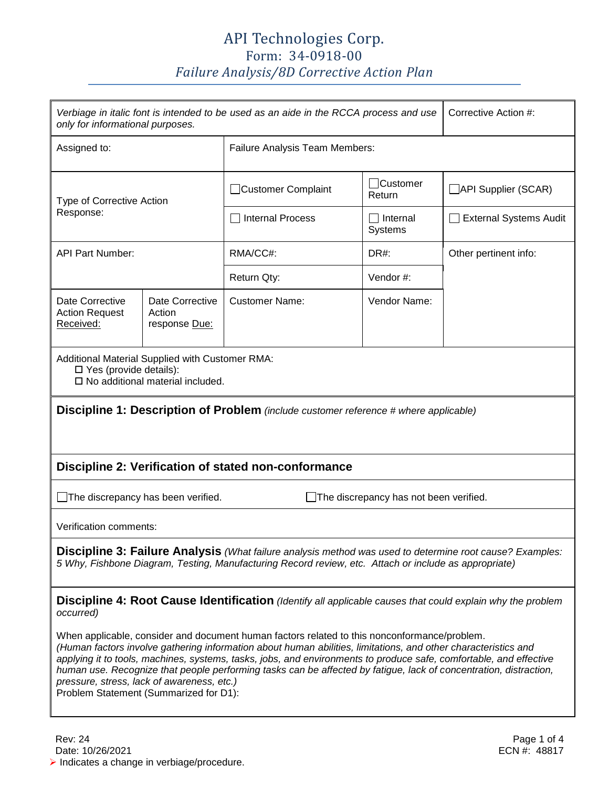## API Technologies Corp. Form: 34-0918-00 *Failure Analysis/8D Corrective Action Plan*

| Corrective Action #:<br>Verbiage in italic font is intended to be used as an aide in the RCCA process and use<br>only for informational purposes.                                                                                                                                                                                                                                                                                                                                                                                                 |                                            |                                       |                                      |                               |  |
|---------------------------------------------------------------------------------------------------------------------------------------------------------------------------------------------------------------------------------------------------------------------------------------------------------------------------------------------------------------------------------------------------------------------------------------------------------------------------------------------------------------------------------------------------|--------------------------------------------|---------------------------------------|--------------------------------------|-------------------------------|--|
| Assigned to:                                                                                                                                                                                                                                                                                                                                                                                                                                                                                                                                      |                                            | <b>Failure Analysis Team Members:</b> |                                      |                               |  |
| Type of Corrective Action<br>Response:                                                                                                                                                                                                                                                                                                                                                                                                                                                                                                            |                                            | Customer Complaint                    | <b>Customer</b><br>Return            | API Supplier (SCAR)           |  |
|                                                                                                                                                                                                                                                                                                                                                                                                                                                                                                                                                   |                                            | <b>Internal Process</b>               | $\exists$ Internal<br><b>Systems</b> | <b>External Systems Audit</b> |  |
| <b>API Part Number:</b>                                                                                                                                                                                                                                                                                                                                                                                                                                                                                                                           |                                            | RMA/CC#:                              | DR#:                                 | Other pertinent info:         |  |
|                                                                                                                                                                                                                                                                                                                                                                                                                                                                                                                                                   |                                            | Return Qty:                           | Vendor#:                             |                               |  |
| Date Corrective<br><b>Action Request</b><br>Received:                                                                                                                                                                                                                                                                                                                                                                                                                                                                                             | Date Corrective<br>Action<br>response Due: | <b>Customer Name:</b>                 | Vendor Name:                         |                               |  |
| Additional Material Supplied with Customer RMA:<br>□ Yes (provide details):<br>$\square$ No additional material included.                                                                                                                                                                                                                                                                                                                                                                                                                         |                                            |                                       |                                      |                               |  |
| Discipline 1: Description of Problem (include customer reference # where applicable)                                                                                                                                                                                                                                                                                                                                                                                                                                                              |                                            |                                       |                                      |                               |  |
| Discipline 2: Verification of stated non-conformance                                                                                                                                                                                                                                                                                                                                                                                                                                                                                              |                                            |                                       |                                      |                               |  |
| $\Box$ The discrepancy has been verified.<br>The discrepancy has not been verified.                                                                                                                                                                                                                                                                                                                                                                                                                                                               |                                            |                                       |                                      |                               |  |
| Verification comments:                                                                                                                                                                                                                                                                                                                                                                                                                                                                                                                            |                                            |                                       |                                      |                               |  |
| Discipline 3: Failure Analysis (What failure analysis method was used to determine root cause? Examples:<br>5 Why, Fishbone Diagram, Testing, Manufacturing Record review, etc. Attach or include as appropriate)                                                                                                                                                                                                                                                                                                                                 |                                            |                                       |                                      |                               |  |
| Discipline 4: Root Cause Identification (Identify all applicable causes that could explain why the problem<br>occurred)                                                                                                                                                                                                                                                                                                                                                                                                                           |                                            |                                       |                                      |                               |  |
| When applicable, consider and document human factors related to this nonconformance/problem.<br>(Human factors involve gathering information about human abilities, limitations, and other characteristics and<br>applying it to tools, machines, systems, tasks, jobs, and environments to produce safe, comfortable, and effective<br>human use. Recognize that people performing tasks can be affected by fatigue, lack of concentration, distraction,<br>pressure, stress, lack of awareness, etc.)<br>Problem Statement (Summarized for D1): |                                            |                                       |                                      |                               |  |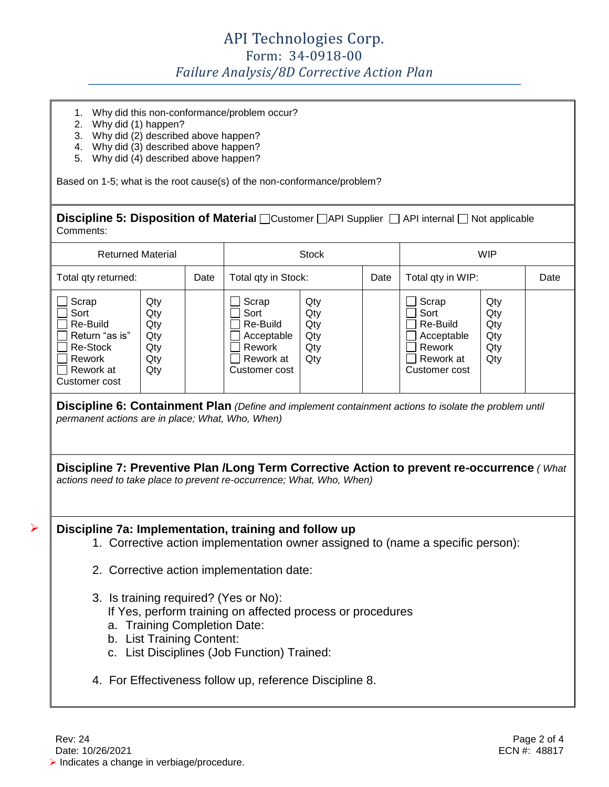- 1. Why did this non-conformance/problem occur?
- 2. Why did (1) happen?
- 3. Why did (2) described above happen?
- 4. Why did (3) described above happen?
- 5. Why did (4) described above happen?

Based on 1-5; what is the root cause(s) of the non-conformance/problem?

**Discipline 5: Disposition of Material** □ Customer □ API Supplier □ API internal □ Not applicable Comments:

| <b>Returned Material</b>                                                                        |                                               |      |                                                                                 | <b>Stock</b>                           |      |                                                                                 | <b>WIP</b>                             |      |
|-------------------------------------------------------------------------------------------------|-----------------------------------------------|------|---------------------------------------------------------------------------------|----------------------------------------|------|---------------------------------------------------------------------------------|----------------------------------------|------|
| Total qty returned:                                                                             |                                               | Date | Total qty in Stock:                                                             |                                        | Date | Total qty in WIP:                                                               |                                        | Date |
| Scrap<br>Sort<br>Re-Build<br>Return "as is"<br>Re-Stock<br>Rework<br>Rework at<br>Customer cost | Qty<br>Qty<br>Qty<br>Qty<br>Qtv<br>Qty<br>Qty |      | Scrap<br>Sort<br>Re-Build<br>Acceptable<br>Rework<br>Rework at<br>Customer cost | Qty<br>Qty<br>Qty<br>Qty<br>Qty<br>Qty |      | Scrap<br>Sort<br>Re-Build<br>Acceptable<br>Rework<br>Rework at<br>Customer cost | Qty<br>Qty<br>Qty<br>Qty<br>Qty<br>Qty |      |

**Discipline 6: Containment Plan** *(Define and implement containment actions to isolate the problem until permanent actions are in place; What, Who, When)*

**Discipline 7: Preventive Plan /Long Term Corrective Action to prevent re-occurrence** *( What actions need to take place to prevent re-occurrence; What, Who, When)*

➤

## **Discipline 7a: Implementation, training and follow up**

- 1. Corrective action implementation owner assigned to (name a specific person):
- 2. Corrective action implementation date:
- 3. Is training required? (Yes or No):

If Yes, perform training on affected process or procedures

- a. Training Completion Date:
- b. List Training Content:
- c. List Disciplines (Job Function) Trained:
- 4. For Effectiveness follow up, reference Discipline 8.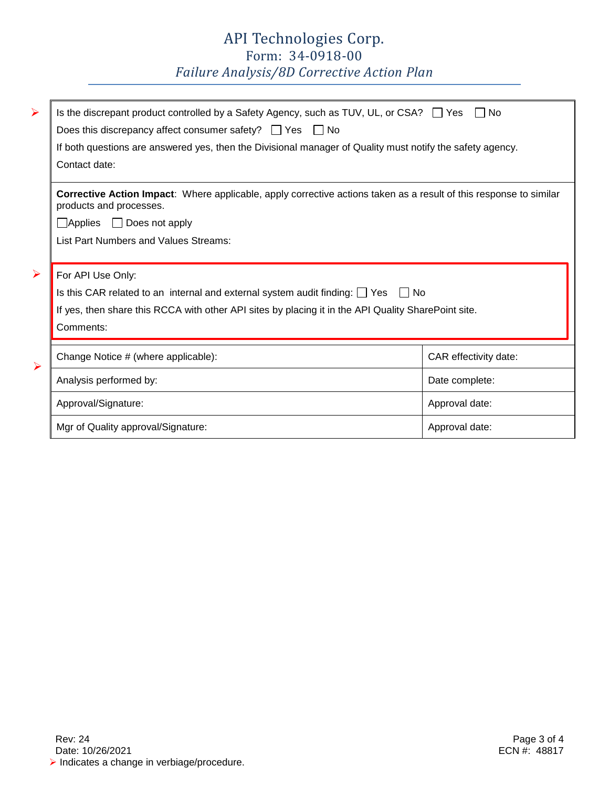## API Technologies Corp. Form: 34-0918-00

*Failure Analysis/8D Corrective Action Plan*

| $\blacktriangleright$ | Is the discrepant product controlled by a Safety Agency, such as TUV, UL, or CSA? $\Box$ Yes<br>Does this discrepancy affect consumer safety? $\Box$ Yes $\Box$ No<br>If both questions are answered yes, then the Divisional manager of Quality must notify the safety agency.<br>Contact date: | l INo                 |
|-----------------------|--------------------------------------------------------------------------------------------------------------------------------------------------------------------------------------------------------------------------------------------------------------------------------------------------|-----------------------|
|                       | <b>Corrective Action Impact:</b> Where applicable, apply corrective actions taken as a result of this response to similar<br>products and processes.                                                                                                                                             |                       |
|                       | $\Box$ Applies $\Box$ Does not apply                                                                                                                                                                                                                                                             |                       |
|                       | List Part Numbers and Values Streams:                                                                                                                                                                                                                                                            |                       |
| $\blacktriangleright$ | For API Use Only:                                                                                                                                                                                                                                                                                |                       |
|                       | Is this CAR related to an internal and external system audit finding: $\Box$ Yes $\Box$ No                                                                                                                                                                                                       |                       |
|                       | If yes, then share this RCCA with other API sites by placing it in the API Quality SharePoint site.                                                                                                                                                                                              |                       |
|                       | Comments:                                                                                                                                                                                                                                                                                        |                       |
| $\blacktriangleright$ | Change Notice # (where applicable):                                                                                                                                                                                                                                                              | CAR effectivity date: |
|                       | Analysis performed by:                                                                                                                                                                                                                                                                           | Date complete:        |
|                       | Approval/Signature:                                                                                                                                                                                                                                                                              | Approval date:        |
|                       | Mgr of Quality approval/Signature:                                                                                                                                                                                                                                                               | Approval date:        |